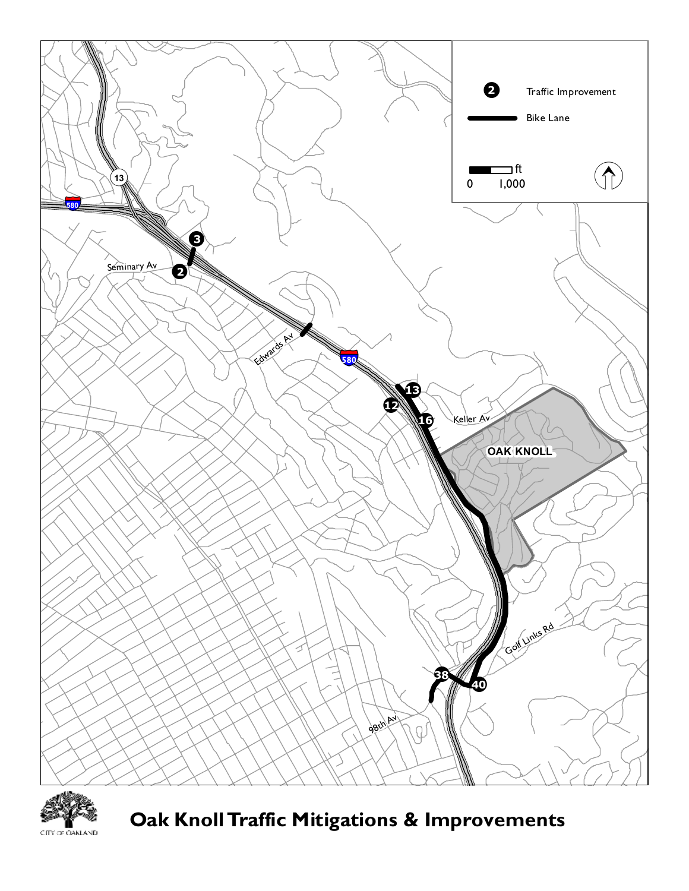



**Oak KnollTraffic Mitigations & Improvements**